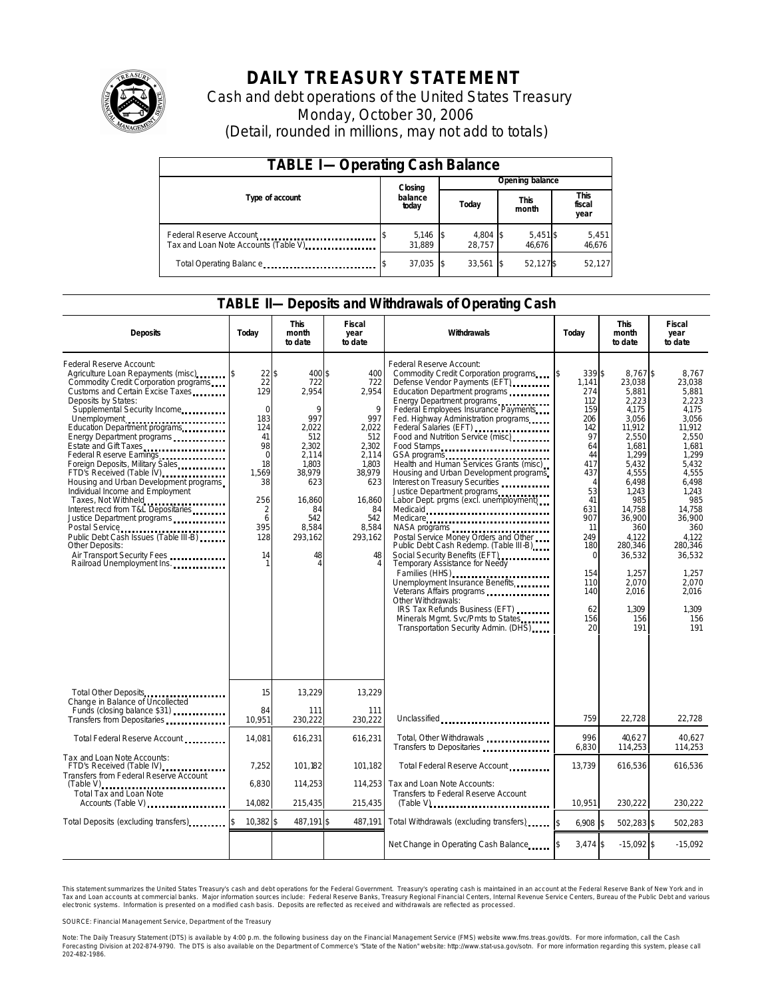

# **DAILY TREASURY STATEMENT**

Cash and debt operations of the United States Treasury Monday, October 30, 2006 (Detail, rounded in millions, may not add to totals)

| <b>TABLE I-Operating Cash Balance</b>                           |  |                    |  |                    |  |                      |  |                        |  |
|-----------------------------------------------------------------|--|--------------------|--|--------------------|--|----------------------|--|------------------------|--|
|                                                                 |  | Closing            |  | Opening balance    |  |                      |  |                        |  |
| Type of account                                                 |  | balance<br>today   |  | Today              |  | <b>This</b><br>month |  | This<br>fiscal<br>year |  |
| Federal Reserve Account<br>Tax and Loan Note Accounts (Table V) |  | 5,146 \$<br>31.889 |  | 4,804 \$<br>28.757 |  | $5,451$ \$<br>46.676 |  | 5,451<br>46,676        |  |
| Total Operating Balance                                         |  | 37,035 \$          |  | 33.561             |  | 52,127\$             |  | 52.127                 |  |

#### **TABLE II—Deposits and Withdrawals of Operating Cash**

| <b>Deposits</b>                                                                                                                                                                                                                                                                                                                                                                                                                                                                                                                                                                                                                                            | Today                                                                                                                                                                 | <b>This</b><br>month<br>to date                                                                                                                | Fiscal<br>year<br>to date                                                                                                                         | Withdrawals                                                                                                                                                                                                                                                                                                                                                                                                                                                                                                                                                                                                                                                                                                                                                                                                                                                                                                               | Today                                                                                                                                                                                                                  | <b>This</b><br>month<br>to date                                                                                                                                                                                                                  | <b>Fiscal</b><br>year<br>to date                                                                                                                                                                                                               |
|------------------------------------------------------------------------------------------------------------------------------------------------------------------------------------------------------------------------------------------------------------------------------------------------------------------------------------------------------------------------------------------------------------------------------------------------------------------------------------------------------------------------------------------------------------------------------------------------------------------------------------------------------------|-----------------------------------------------------------------------------------------------------------------------------------------------------------------------|------------------------------------------------------------------------------------------------------------------------------------------------|---------------------------------------------------------------------------------------------------------------------------------------------------|---------------------------------------------------------------------------------------------------------------------------------------------------------------------------------------------------------------------------------------------------------------------------------------------------------------------------------------------------------------------------------------------------------------------------------------------------------------------------------------------------------------------------------------------------------------------------------------------------------------------------------------------------------------------------------------------------------------------------------------------------------------------------------------------------------------------------------------------------------------------------------------------------------------------------|------------------------------------------------------------------------------------------------------------------------------------------------------------------------------------------------------------------------|--------------------------------------------------------------------------------------------------------------------------------------------------------------------------------------------------------------------------------------------------|------------------------------------------------------------------------------------------------------------------------------------------------------------------------------------------------------------------------------------------------|
| Federal Reserve Account:<br>Agriculture Loan Repayments (misc)<br>Commodity Credit Corporation programs<br>Customs and Certain Excise Taxes<br>Deposits by States:<br>Supplemental Security Income<br>Energy Department programs<br>Estate and Gift Taxes<br>Federal Reserve Earnings<br>Foreign Deposits, Military Sales<br>FTD's Received (Table IV)<br>Housing and Urban Development programs<br>Individual Income and Employment<br>Taxes, Not Withheld<br>Interest recd from T&L Depositaries<br>Justice Department programs<br>Public Debt Cash Issues (Table III-B)<br>Other Deposits:<br>Air Transport Security Fees<br>Railroad Unemployment Ins. | $22\sqrt{3}$<br>$\overline{22}$<br>129<br>$\mathbf 0$<br>183<br>124<br>41<br>98<br>$\mathbf 0$<br>18<br>1.569<br>38<br>256<br>$\overline{2}$<br>6<br>395<br>128<br>14 | 400\$<br>722<br>2,954<br>9<br>997<br>2,022<br>512<br>2.302<br>2,114<br>1,803<br>38,979<br>623<br>16.860<br>84<br>542<br>8,584<br>293,162<br>48 | 400<br>722<br>2,954<br>9<br>997<br>2,022<br>512<br>2,302<br>2,114<br>1.803<br>38,979<br>623<br>16.860<br>84<br>542<br>8,584<br>293,162<br>48<br>4 | Federal Reserve Account:<br>Commodity Credit Corporation programs<br>Defense Vendor Payments (EFT)<br>Education Department programs<br>Energy Department programs<br>Federal Employees Insurance Payments<br>Fed. Highway Administration programs<br>Federal Salaries (EFT)<br>Food and Nutrition Service (misc)<br>Food Stamps<br>GSA programs<br>Health and Human Services Grants (misc)<br>Housing and Urban Development programs<br>Interest on Treasury Securities<br>Justice Department programs<br>Labor Dept. prgms (excl. unemployment)<br>Medicaid<br>Medicare<br>Postal Service Money Orders and Other<br>Public Debt Cash Redemp. (Table III-B)<br>Social Security Benefits (EFT)<br>Temporary Assistance for Needy<br>Families (HHS)<br>Unemployment Insurance Benefits<br>Other Withdrawals:<br>IRS Tax Refunds Business (EFT)<br>Minerals Mgmt. Svc/Pmts to States<br>Transportation Security Admin. (DHS) | 339\$<br><sup>\$</sup><br>1,141<br>274<br>112<br>159<br>206<br>142<br>97<br>64<br>44<br>417<br>437<br>$\overline{A}$<br>53<br>41<br>631<br>907<br>11<br>249<br>180<br>$\Omega$<br>154<br>110<br>140<br>62<br>156<br>20 | 8,767\$<br>23.038<br>5,881<br>2.223<br>4,175<br>3,056<br>11,912<br>2,550<br>1.681<br>1,299<br>5.432<br>4,555<br>6.498<br>1.243<br>985<br>14.758<br>36,900<br>360<br>4,122<br>280.346<br>36,532<br>1,257<br>2,070<br>2.016<br>1.309<br>156<br>191 | 8.767<br>23.038<br>5.881<br>2.223<br>4,175<br>3,056<br>11,912<br>2,550<br>1.681<br>1,299<br>5.432<br>4,555<br>6.498<br>1.243<br>985<br>14.758<br>36,900<br>360<br>4,122<br>280.346<br>36,532<br>1.257<br>2.070<br>2.016<br>1.309<br>156<br>191 |
| Total Other Deposits<br>Change in Balance of Uncollected                                                                                                                                                                                                                                                                                                                                                                                                                                                                                                                                                                                                   | 15                                                                                                                                                                    | 13,229                                                                                                                                         | 13,229                                                                                                                                            |                                                                                                                                                                                                                                                                                                                                                                                                                                                                                                                                                                                                                                                                                                                                                                                                                                                                                                                           |                                                                                                                                                                                                                        |                                                                                                                                                                                                                                                  |                                                                                                                                                                                                                                                |
| Funds (closing balance \$31)<br>Funds (closing balance \$31)<br>Transfers from Depositaries                                                                                                                                                                                                                                                                                                                                                                                                                                                                                                                                                                | 84<br>10,951                                                                                                                                                          | 111<br>230,222                                                                                                                                 | 111<br>230,222                                                                                                                                    | Unclassified                                                                                                                                                                                                                                                                                                                                                                                                                                                                                                                                                                                                                                                                                                                                                                                                                                                                                                              | 759                                                                                                                                                                                                                    | 22.728                                                                                                                                                                                                                                           | 22.728                                                                                                                                                                                                                                         |
| Total Federal Reserve Account                                                                                                                                                                                                                                                                                                                                                                                                                                                                                                                                                                                                                              | 14,081                                                                                                                                                                | 616,231                                                                                                                                        | 616,231                                                                                                                                           | Total, Other Withdrawals<br>Transfers to Depositaries                                                                                                                                                                                                                                                                                                                                                                                                                                                                                                                                                                                                                                                                                                                                                                                                                                                                     | 996<br>6,830                                                                                                                                                                                                           | 40,627<br>114,253                                                                                                                                                                                                                                | 40.627<br>114,253                                                                                                                                                                                                                              |
| Tax and Loan Note Accounts:<br>FTD's Received (Table IV)<br>Transfers from Federal Reserve Account                                                                                                                                                                                                                                                                                                                                                                                                                                                                                                                                                         | 7.252                                                                                                                                                                 | 101.182                                                                                                                                        | 101.182                                                                                                                                           | Total Federal Reserve Account                                                                                                                                                                                                                                                                                                                                                                                                                                                                                                                                                                                                                                                                                                                                                                                                                                                                                             | 13.739                                                                                                                                                                                                                 | 616.536                                                                                                                                                                                                                                          | 616,536                                                                                                                                                                                                                                        |
| $(Table V)$<br><br>Total Tax and Loan Note<br>Accounts (Table V)                                                                                                                                                                                                                                                                                                                                                                                                                                                                                                                                                                                           | 6,830<br>14,082                                                                                                                                                       | 114,253<br>215,435                                                                                                                             | 114,253<br>215,435                                                                                                                                | Tax and Loan Note Accounts:<br>Transfers to Federal Reserve Account<br>$(Table V)$                                                                                                                                                                                                                                                                                                                                                                                                                                                                                                                                                                                                                                                                                                                                                                                                                                        | 10,951                                                                                                                                                                                                                 | 230,222                                                                                                                                                                                                                                          | 230,222                                                                                                                                                                                                                                        |
| Total Deposits (excluding transfers)                                                                                                                                                                                                                                                                                                                                                                                                                                                                                                                                                                                                                       | $10,382$ \$                                                                                                                                                           | 487,191 \$                                                                                                                                     | 487,191                                                                                                                                           | Total Withdrawals (excluding transfers)                                                                                                                                                                                                                                                                                                                                                                                                                                                                                                                                                                                                                                                                                                                                                                                                                                                                                   | $6,908$ \$                                                                                                                                                                                                             | 502,283 \$                                                                                                                                                                                                                                       | 502,283                                                                                                                                                                                                                                        |
|                                                                                                                                                                                                                                                                                                                                                                                                                                                                                                                                                                                                                                                            |                                                                                                                                                                       |                                                                                                                                                |                                                                                                                                                   | Net Change in Operating Cash Balance                                                                                                                                                                                                                                                                                                                                                                                                                                                                                                                                                                                                                                                                                                                                                                                                                                                                                      | $3,474$ \$                                                                                                                                                                                                             | $-15,092$ \$                                                                                                                                                                                                                                     | $-15,092$                                                                                                                                                                                                                                      |

This statement summarizes the United States Treasury's cash and debt operations for the Federal Government. Treasury's operating cash is maintained in an account at the Federal Reserve Bank of New York and in Tax and Loan accounts at commercial banks. Major information sources include: Federal Reserve Banks, Treasury Regional Financial Centers, Internal Revenue Service Centers, Bureau of the Public Debt and various<br>electronic s

SOURCE: Financial Management Service, Department of the Treasury

Note: The Daily Treasury Statement (DTS) is available by 4:00 p.m. the following business day on the Financial Management Service (FMS) website www.fms.treas.gov/dts. For more information, call the Cash<br>Forecasting Divisio